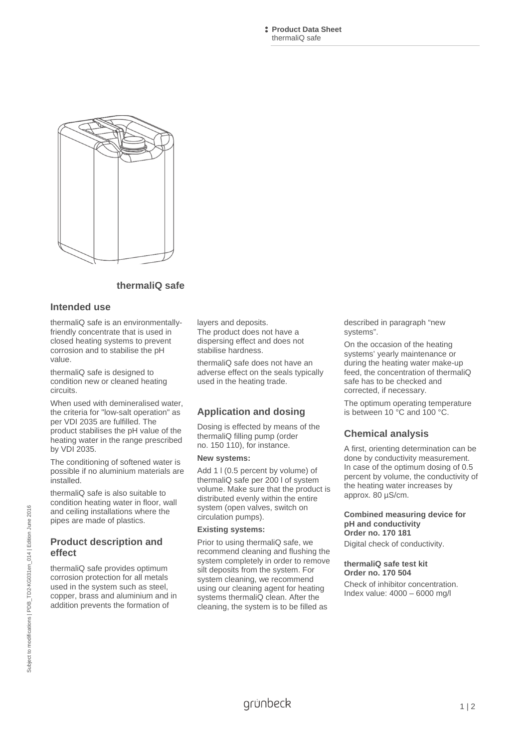**Product Data Sheet**  thermaliQ safe



## **thermaliQ safe**

#### **Intended use**

thermaliQ safe is an environmentallyfriendly concentrate that is used in closed heating systems to prevent corrosion and to stabilise the pH value.

thermaliQ safe is designed to condition new or cleaned heating circuits.

When used with demineralised water, the criteria for "low-salt operation" as per VDI 2035 are fulfilled. The product stabilises the pH value of the heating water in the range prescribed by VDI 2035.

The conditioning of softened water is possible if no aluminium materials are installed.

thermaliQ safe is also suitable to condition heating water in floor, wall and ceiling installations where the pipes are made of plastics.

#### **Product description and effect**

thermaliQ safe provides optimum corrosion protection for all metals used in the system such as steel, copper, brass and aluminium and in addition prevents the formation of

layers and deposits.

The product does not have a dispersing effect and does not stabilise hardness.

thermaliQ safe does not have an adverse effect on the seals typically used in the heating trade.

# **Application and dosing**

Dosing is effected by means of the thermaliQ filling pump (order no. 150 110), for instance.

#### **New systems:**

Add 1 l (0.5 percent by volume) of thermaliQ safe per 200 l of system volume. Make sure that the product is distributed evenly within the entire system (open valves, switch on circulation pumps).

#### **Existing systems:**

Prior to using thermaliQ safe, we recommend cleaning and flushing the system completely in order to remove silt deposits from the system. For system cleaning, we recommend using our cleaning agent for heating systems thermaliQ clean. After the cleaning, the system is to be filled as

described in paragraph "new systems".

On the occasion of the heating systems' yearly maintenance or during the heating water make-up feed, the concentration of thermaliQ safe has to be checked and corrected, if necessary.

The optimum operating temperature is between 10 °C and 100 °C.

# **Chemical analysis**

A first, orienting determination can be done by conductivity measurement. In case of the optimum dosing of 0.5 percent by volume, the conductivity of the heating water increases by approx. 80 µS/cm.

# **Combined measuring device for pH and conductivity Order no. 170 181**

Digital check of conductivity.

#### **thermaliQ safe test kit Order no. 170 504**

Check of inhibitor concentration. Index value: 4000 – 6000 mg/l